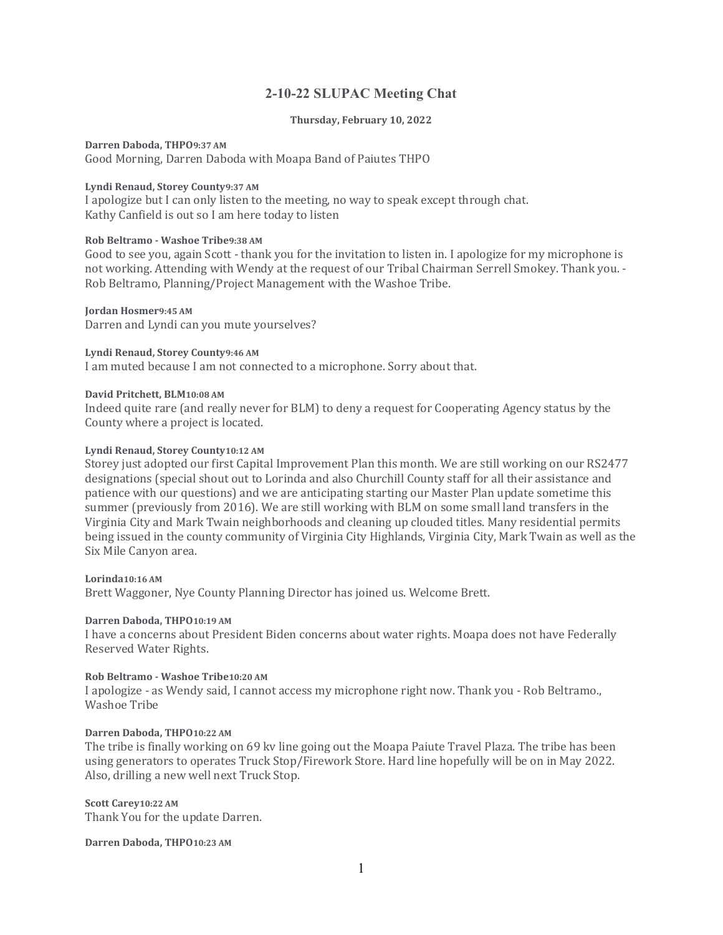# 2-10-22 SLUPAC Meeting Chat

#### Thursday, February 10, 2022

Darren Daboda, THPO9:37 AM

Good Morning, Darren Daboda with Moapa Band of Paiutes THPO

### Lyndi Renaud, Storey County9:37 AM

I apologize but I can only listen to the meeting, no way to speak except through chat. Kathy Canfield is out so I am here today to listen

### Rob Beltramo - Washoe Tribe9:38 AM

Good to see you, again Scott - thank you for the invitation to listen in. I apologize for my microphone is not working. Attending with Wendy at the request of our Tribal Chairman Serrell Smokey. Thank you. - Rob Beltramo, Planning/Project Management with the Washoe Tribe.

Jordan Hosmer9:45 AM Darren and Lyndi can you mute yourselves?

Lyndi Renaud, Storey County9:46 AM

I am muted because I am not connected to a microphone. Sorry about that.

#### David Pritchett, BLM10:08 AM

Indeed quite rare (and really never for BLM) to deny a request for Cooperating Agency status by the County where a project is located.

#### Lyndi Renaud, Storey County10:12 AM

Storey just adopted our first Capital Improvement Plan this month. We are still working on our RS2477 designations (special shout out to Lorinda and also Churchill County staff for all their assistance and patience with our questions) and we are anticipating starting our Master Plan update sometime this summer (previously from 2016). We are still working with BLM on some small land transfers in the Virginia City and Mark Twain neighborhoods and cleaning up clouded titles. Many residential permits being issued in the county community of Virginia City Highlands, Virginia City, Mark Twain as well as the Six Mile Canyon area.

Lorinda10:16 AM Brett Waggoner, Nye County Planning Director has joined us. Welcome Brett.

#### Darren Daboda, THPO10:19 AM

I have a concerns about President Biden concerns about water rights. Moapa does not have Federally Reserved Water Rights.

### Rob Beltramo - Washoe Tribe10:20 AM

I apologize - as Wendy said, I cannot access my microphone right now. Thank you - Rob Beltramo., Washoe Tribe

## Darren Daboda, THPO10:22 AM

The tribe is finally working on 69 kv line going out the Moapa Paiute Travel Plaza. The tribe has been using generators to operates Truck Stop/Firework Store. Hard line hopefully will be on in May 2022. Also, drilling a new well next Truck Stop.

Scott Carey10:22 AM Thank You for the update Darren.

Darren Daboda, THPO10:23 AM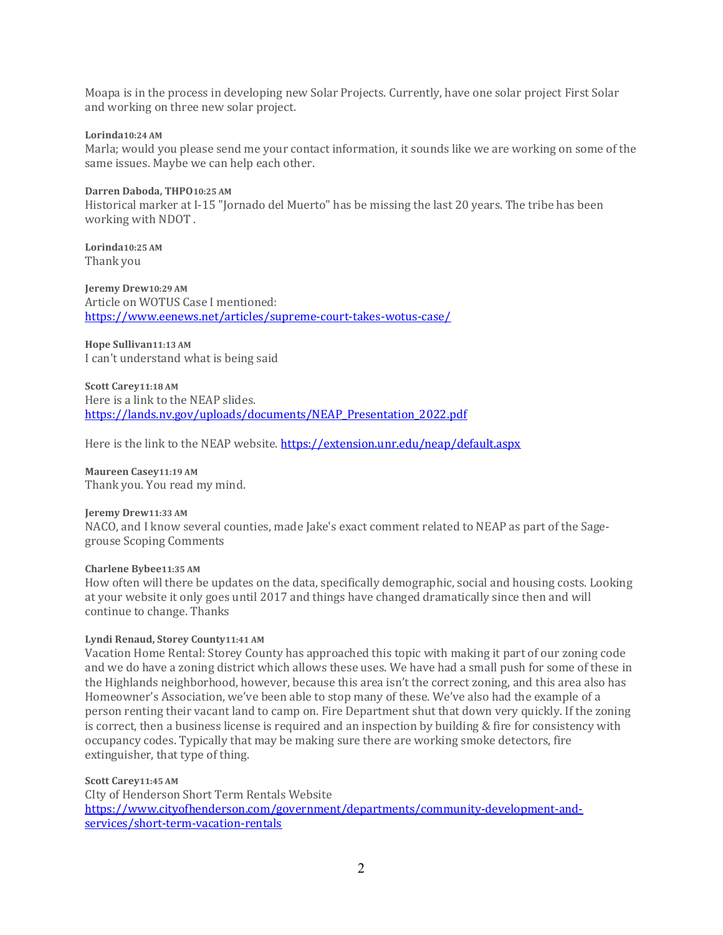Moapa is in the process in developing new Solar Projects. Currently, have one solar project First Solar and working on three new solar project.

### Lorinda10:24 AM

Marla; would you please send me your contact information, it sounds like we are working on some of the same issues. Maybe we can help each other.

Darren Daboda, THPO10:25 AM Historical marker at I-15 "Jornado del Muerto" has be missing the last 20 years. The tribe has been working with NDOT .

Lorinda10:25 AM Thank you

Jeremy Drew10:29 AM Article on WOTUS Case I mentioned: https://www.eenews.net/articles/supreme-court-takes-wotus-case/

Hope Sullivan11:13 AM I can't understand what is being said

Scott Carey11:18 AM Here is a link to the NEAP slides. https://lands.nv.gov/uploads/documents/NEAP\_Presentation\_2022.pdf

Here is the link to the NEAP website. https://extension.unr.edu/neap/default.aspx

Maureen Casey11:19 AM Thank you. You read my mind.

Jeremy Drew11:33 AM NACO, and I know several counties, made Jake's exact comment related to NEAP as part of the Sagegrouse Scoping Comments

Charlene Bybee11:35 AM

How often will there be updates on the data, specifically demographic, social and housing costs. Looking at your website it only goes until 2017 and things have changed dramatically since then and will continue to change. Thanks

### Lyndi Renaud, Storey County11:41 AM

Vacation Home Rental: Storey County has approached this topic with making it part of our zoning code and we do have a zoning district which allows these uses. We have had a small push for some of these in the Highlands neighborhood, however, because this area isn't the correct zoning, and this area also has Homeowner's Association, we've been able to stop many of these. We've also had the example of a person renting their vacant land to camp on. Fire Department shut that down very quickly. If the zoning is correct, then a business license is required and an inspection by building & fire for consistency with occupancy codes. Typically that may be making sure there are working smoke detectors, fire extinguisher, that type of thing.

Scott Carey11:45 AM CIty of Henderson Short Term Rentals Website https://www.cityofhenderson.com/government/departments/community-development-andservices/short-term-vacation-rentals